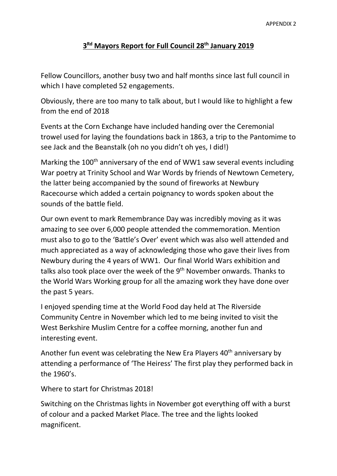## **3Rd Mayors Report for Full Council 28th January 2019**

Fellow Councillors, another busy two and half months since last full council in which I have completed 52 engagements.

Obviously, there are too many to talk about, but I would like to highlight a few from the end of 2018

Events at the Corn Exchange have included handing over the Ceremonial trowel used for laying the foundations back in 1863, a trip to the Pantomime to see Jack and the Beanstalk (oh no you didn't oh yes, I did!)

Marking the 100<sup>th</sup> anniversary of the end of WW1 saw several events including War poetry at Trinity School and War Words by friends of Newtown Cemetery, the latter being accompanied by the sound of fireworks at Newbury Racecourse which added a certain poignancy to words spoken about the sounds of the battle field.

Our own event to mark Remembrance Day was incredibly moving as it was amazing to see over 6,000 people attended the commemoration. Mention must also to go to the 'Battle's Over' event which was also well attended and much appreciated as a way of acknowledging those who gave their lives from Newbury during the 4 years of WW1. Our final World Wars exhibition and talks also took place over the week of the 9<sup>th</sup> November onwards. Thanks to the World Wars Working group for all the amazing work they have done over the past 5 years.

I enjoyed spending time at the World Food day held at The Riverside Community Centre in November which led to me being invited to visit the West Berkshire Muslim Centre for a coffee morning, another fun and interesting event.

Another fun event was celebrating the New Era Players  $40<sup>th</sup>$  anniversary by attending a performance of 'The Heiress' The first play they performed back in the 1960's.

Where to start for Christmas 2018!

Switching on the Christmas lights in November got everything off with a burst of colour and a packed Market Place. The tree and the lights looked magnificent.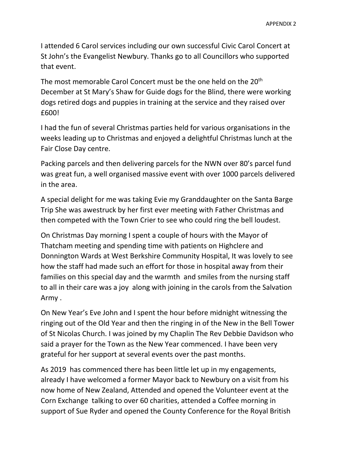I attended 6 Carol services including our own successful Civic Carol Concert at St John's the Evangelist Newbury. Thanks go to all Councillors who supported that event.

The most memorable Carol Concert must be the one held on the 20<sup>th</sup> December at St Mary's Shaw for Guide dogs for the Blind, there were working dogs retired dogs and puppies in training at the service and they raised over £600!

I had the fun of several Christmas parties held for various organisations in the weeks leading up to Christmas and enjoyed a delightful Christmas lunch at the Fair Close Day centre.

Packing parcels and then delivering parcels for the NWN over 80's parcel fund was great fun, a well organised massive event with over 1000 parcels delivered in the area.

A special delight for me was taking Evie my Granddaughter on the Santa Barge Trip She was awestruck by her first ever meeting with Father Christmas and then competed with the Town Crier to see who could ring the bell loudest.

On Christmas Day morning I spent a couple of hours with the Mayor of Thatcham meeting and spending time with patients on Highclere and Donnington Wards at West Berkshire Community Hospital, It was lovely to see how the staff had made such an effort for those in hospital away from their families on this special day and the warmth and smiles from the nursing staff to all in their care was a joy along with joining in the carols from the Salvation Army .

On New Year's Eve John and I spent the hour before midnight witnessing the ringing out of the Old Year and then the ringing in of the New in the Bell Tower of St Nicolas Church. I was joined by my Chaplin The Rev Debbie Davidson who said a prayer for the Town as the New Year commenced. I have been very grateful for her support at several events over the past months.

As 2019 has commenced there has been little let up in my engagements, already I have welcomed a former Mayor back to Newbury on a visit from his now home of New Zealand, Attended and opened the Volunteer event at the Corn Exchange talking to over 60 charities, attended a Coffee morning in support of Sue Ryder and opened the County Conference for the Royal British